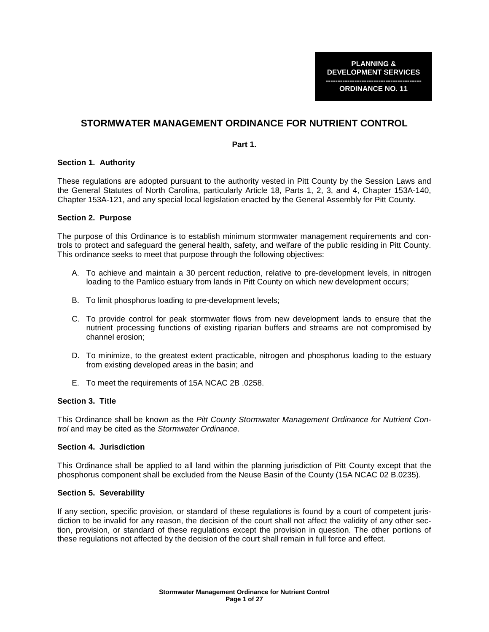**PLANNING & DEVELOPMENT SERVICES** 

**---------------------------------------- ORDINANCE NO. 11** 

# **STORMWATER MANAGEMENT ORDINANCE FOR NUTRIENT CONTROL**

**Part 1.** 

### **Section 1. Authority**

These regulations are adopted pursuant to the authority vested in Pitt County by the Session Laws and the General Statutes of North Carolina, particularly Article 18, Parts 1, 2, 3, and 4, Chapter 153A-140, Chapter 153A-121, and any special local legislation enacted by the General Assembly for Pitt County.

#### **Section 2. Purpose**

The purpose of this Ordinance is to establish minimum stormwater management requirements and controls to protect and safeguard the general health, safety, and welfare of the public residing in Pitt County. This ordinance seeks to meet that purpose through the following objectives:

- A. To achieve and maintain a 30 percent reduction, relative to pre-development levels, in nitrogen loading to the Pamlico estuary from lands in Pitt County on which new development occurs;
- B. To limit phosphorus loading to pre-development levels;
- C. To provide control for peak stormwater flows from new development lands to ensure that the nutrient processing functions of existing riparian buffers and streams are not compromised by channel erosion;
- D. To minimize, to the greatest extent practicable, nitrogen and phosphorus loading to the estuary from existing developed areas in the basin; and
- E. To meet the requirements of 15A NCAC 2B .0258.

### **Section 3. Title**

This Ordinance shall be known as the Pitt County Stormwater Management Ordinance for Nutrient Control and may be cited as the Stormwater Ordinance.

# **Section 4. Jurisdiction**

This Ordinance shall be applied to all land within the planning jurisdiction of Pitt County except that the phosphorus component shall be excluded from the Neuse Basin of the County (15A NCAC 02 B.0235).

#### **Section 5. Severability**

If any section, specific provision, or standard of these regulations is found by a court of competent jurisdiction to be invalid for any reason, the decision of the court shall not affect the validity of any other section, provision, or standard of these regulations except the provision in question. The other portions of these regulations not affected by the decision of the court shall remain in full force and effect.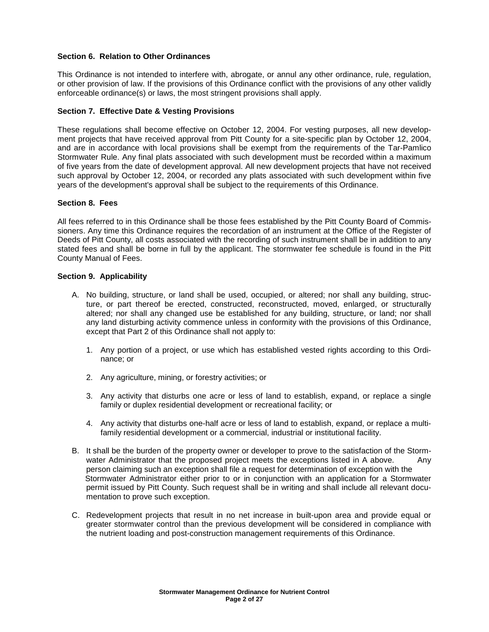### **Section 6. Relation to Other Ordinances**

This Ordinance is not intended to interfere with, abrogate, or annul any other ordinance, rule, regulation, or other provision of law. If the provisions of this Ordinance conflict with the provisions of any other validly enforceable ordinance(s) or laws, the most stringent provisions shall apply.

#### **Section 7. Effective Date & Vesting Provisions**

These regulations shall become effective on October 12, 2004. For vesting purposes, all new development projects that have received approval from Pitt County for a site-specific plan by October 12, 2004, and are in accordance with local provisions shall be exempt from the requirements of the Tar-Pamlico Stormwater Rule. Any final plats associated with such development must be recorded within a maximum of five years from the date of development approval. All new development projects that have not received such approval by October 12, 2004, or recorded any plats associated with such development within five years of the development's approval shall be subject to the requirements of this Ordinance.

#### **Section 8. Fees**

All fees referred to in this Ordinance shall be those fees established by the Pitt County Board of Commissioners. Any time this Ordinance requires the recordation of an instrument at the Office of the Register of Deeds of Pitt County, all costs associated with the recording of such instrument shall be in addition to any stated fees and shall be borne in full by the applicant. The stormwater fee schedule is found in the Pitt County Manual of Fees.

#### **Section 9. Applicability**

- A. No building, structure, or land shall be used, occupied, or altered; nor shall any building, structure, or part thereof be erected, constructed, reconstructed, moved, enlarged, or structurally altered; nor shall any changed use be established for any building, structure, or land; nor shall any land disturbing activity commence unless in conformity with the provisions of this Ordinance, except that Part 2 of this Ordinance shall not apply to:
	- 1. Any portion of a project, or use which has established vested rights according to this Ordinance; or
	- 2. Any agriculture, mining, or forestry activities; or
	- 3. Any activity that disturbs one acre or less of land to establish, expand, or replace a single family or duplex residential development or recreational facility; or
	- 4. Any activity that disturbs one-half acre or less of land to establish, expand, or replace a multifamily residential development or a commercial, industrial or institutional facility.
- B. It shall be the burden of the property owner or developer to prove to the satisfaction of the Stormwater Administrator that the proposed project meets the exceptions listed in A above. Any person claiming such an exception shall file a request for determination of exception with the Stormwater Administrator either prior to or in conjunction with an application for a Stormwater permit issued by Pitt County. Such request shall be in writing and shall include all relevant documentation to prove such exception.
- C. Redevelopment projects that result in no net increase in built-upon area and provide equal or greater stormwater control than the previous development will be considered in compliance with the nutrient loading and post-construction management requirements of this Ordinance.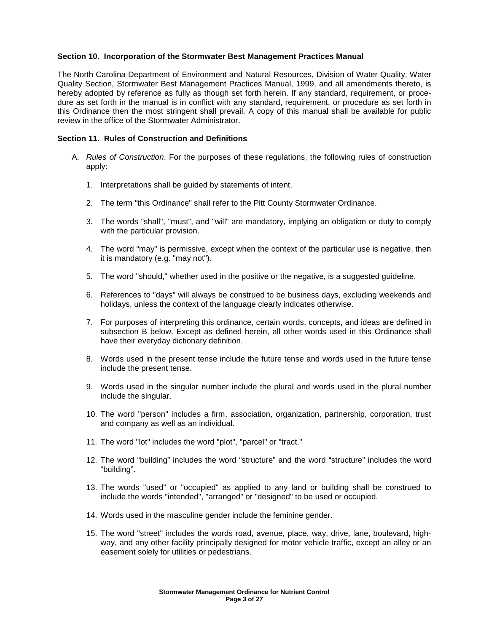#### **Section 10. Incorporation of the Stormwater Best Management Practices Manual**

The North Carolina Department of Environment and Natural Resources, Division of Water Quality, Water Quality Section, Stormwater Best Management Practices Manual, 1999, and all amendments thereto, is hereby adopted by reference as fully as though set forth herein. If any standard, requirement, or procedure as set forth in the manual is in conflict with any standard, requirement, or procedure as set forth in this Ordinance then the most stringent shall prevail. A copy of this manual shall be available for public review in the office of the Stormwater Administrator.

#### **Section 11. Rules of Construction and Definitions**

- A. Rules of Construction. For the purposes of these regulations, the following rules of construction apply:
	- 1. Interpretations shall be guided by statements of intent.
	- 2. The term "this Ordinance" shall refer to the Pitt County Stormwater Ordinance.
	- 3. The words "shall", "must", and "will" are mandatory, implying an obligation or duty to comply with the particular provision.
	- 4. The word "may" is permissive, except when the context of the particular use is negative, then it is mandatory (e.g. "may not").
	- 5. The word "should," whether used in the positive or the negative, is a suggested guideline.
	- 6. References to "days" will always be construed to be business days, excluding weekends and holidays, unless the context of the language clearly indicates otherwise.
	- 7. For purposes of interpreting this ordinance, certain words, concepts, and ideas are defined in subsection B below. Except as defined herein, all other words used in this Ordinance shall have their everyday dictionary definition.
	- 8. Words used in the present tense include the future tense and words used in the future tense include the present tense.
	- 9. Words used in the singular number include the plural and words used in the plural number include the singular.
	- 10. The word "person" includes a firm, association, organization, partnership, corporation, trust and company as well as an individual.
	- 11. The word "lot" includes the word "plot", "parcel" or "tract."
	- 12. The word "building" includes the word "structure" and the word "structure" includes the word "building".
	- 13. The words "used" or "occupied" as applied to any land or building shall be construed to include the words "intended", "arranged" or "designed" to be used or occupied.
	- 14. Words used in the masculine gender include the feminine gender.
	- 15. The word "street" includes the words road, avenue, place, way, drive, lane, boulevard, highway, and any other facility principally designed for motor vehicle traffic, except an alley or an easement solely for utilities or pedestrians.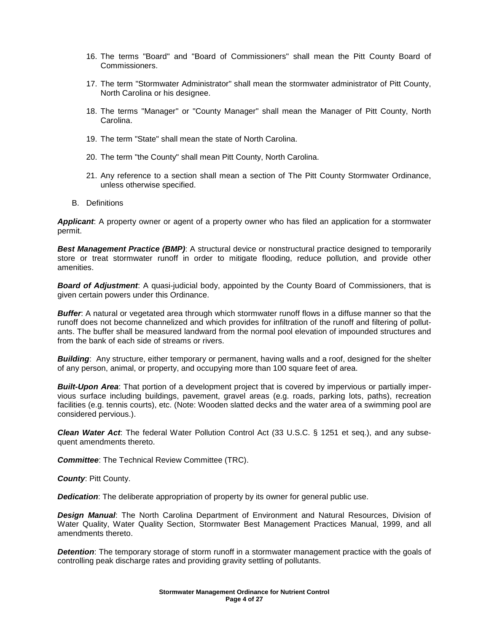- 16. The terms "Board" and "Board of Commissioners" shall mean the Pitt County Board of Commissioners.
- 17. The term "Stormwater Administrator" shall mean the stormwater administrator of Pitt County, North Carolina or his designee.
- 18. The terms "Manager" or "County Manager" shall mean the Manager of Pitt County, North Carolina.
- 19. The term "State" shall mean the state of North Carolina.
- 20. The term "the County" shall mean Pitt County, North Carolina.
- 21. Any reference to a section shall mean a section of The Pitt County Stormwater Ordinance, unless otherwise specified.
- B. Definitions

**Applicant**: A property owner or agent of a property owner who has filed an application for a stormwater permit.

**Best Management Practice (BMP):** A structural device or nonstructural practice designed to temporarily store or treat stormwater runoff in order to mitigate flooding, reduce pollution, and provide other amenities.

**Board of Adjustment**: A quasi-judicial body, appointed by the County Board of Commissioners, that is given certain powers under this Ordinance.

**Buffer**: A natural or vegetated area through which stormwater runoff flows in a diffuse manner so that the runoff does not become channelized and which provides for infiltration of the runoff and filtering of pollutants. The buffer shall be measured landward from the normal pool elevation of impounded structures and from the bank of each side of streams or rivers.

**Building**: Any structure, either temporary or permanent, having walls and a roof, designed for the shelter of any person, animal, or property, and occupying more than 100 square feet of area.

**Built-Upon Area**: That portion of a development project that is covered by impervious or partially impervious surface including buildings, pavement, gravel areas (e.g. roads, parking lots, paths), recreation facilities (e.g. tennis courts), etc. (Note: Wooden slatted decks and the water area of a swimming pool are considered pervious.).

**Clean Water Act**: The federal Water Pollution Control Act (33 U.S.C. § 1251 et seq.), and any subsequent amendments thereto.

**Committee**: The Technical Review Committee (TRC).

**County**: Pitt County.

**Dedication**: The deliberate appropriation of property by its owner for general public use.

**Design Manual**: The North Carolina Department of Environment and Natural Resources, Division of Water Quality, Water Quality Section, Stormwater Best Management Practices Manual, 1999, and all amendments thereto.

**Detention**: The temporary storage of storm runoff in a stormwater management practice with the goals of controlling peak discharge rates and providing gravity settling of pollutants.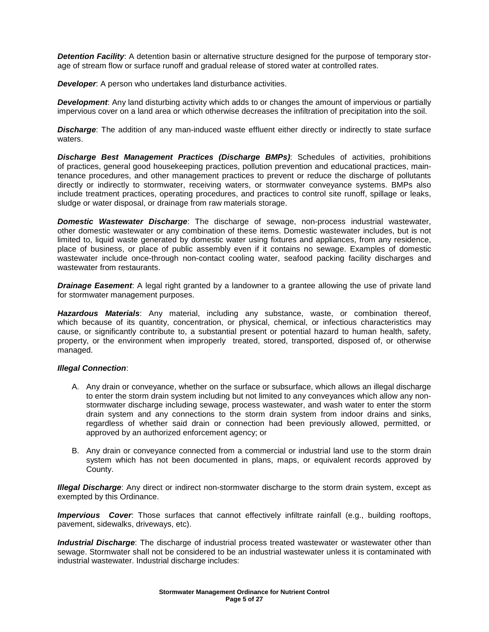**Detention Facility**: A detention basin or alternative structure designed for the purpose of temporary storage of stream flow or surface runoff and gradual release of stored water at controlled rates.

**Developer**: A person who undertakes land disturbance activities.

**Development**: Any land disturbing activity which adds to or changes the amount of impervious or partially impervious cover on a land area or which otherwise decreases the infiltration of precipitation into the soil.

**Discharge**: The addition of any man-induced waste effluent either directly or indirectly to state surface waters.

**Discharge Best Management Practices (Discharge BMPs)**: Schedules of activities, prohibitions of practices, general good housekeeping practices, pollution prevention and educational practices, maintenance procedures, and other management practices to prevent or reduce the discharge of pollutants directly or indirectly to stormwater, receiving waters, or stormwater conveyance systems. BMPs also include treatment practices, operating procedures, and practices to control site runoff, spillage or leaks, sludge or water disposal, or drainage from raw materials storage.

**Domestic Wastewater Discharge**: The discharge of sewage, non-process industrial wastewater, other domestic wastewater or any combination of these items. Domestic wastewater includes, but is not limited to, liquid waste generated by domestic water using fixtures and appliances, from any residence, place of business, or place of public assembly even if it contains no sewage. Examples of domestic wastewater include once-through non-contact cooling water, seafood packing facility discharges and wastewater from restaurants.

**Drainage Easement**: A legal right granted by a landowner to a grantee allowing the use of private land for stormwater management purposes.

**Hazardous Materials**: Any material, including any substance, waste, or combination thereof, which because of its quantity, concentration, or physical, chemical, or infectious characteristics may cause, or significantly contribute to, a substantial present or potential hazard to human health, safety, property, or the environment when improperly treated, stored, transported, disposed of, or otherwise managed.

### **Illegal Connection**:

- A. Any drain or conveyance, whether on the surface or subsurface, which allows an illegal discharge to enter the storm drain system including but not limited to any conveyances which allow any nonstormwater discharge including sewage, process wastewater, and wash water to enter the storm drain system and any connections to the storm drain system from indoor drains and sinks, regardless of whether said drain or connection had been previously allowed, permitted, or approved by an authorized enforcement agency; or
- B. Any drain or conveyance connected from a commercial or industrial land use to the storm drain system which has not been documented in plans, maps, or equivalent records approved by County.

**Illegal Discharge**: Any direct or indirect non-stormwater discharge to the storm drain system, except as exempted by this Ordinance.

**Impervious Cover**: Those surfaces that cannot effectively infiltrate rainfall (e.g., building rooftops, pavement, sidewalks, driveways, etc).

**Industrial Discharge**: The discharge of industrial process treated wastewater or wastewater other than sewage. Stormwater shall not be considered to be an industrial wastewater unless it is contaminated with industrial wastewater. Industrial discharge includes: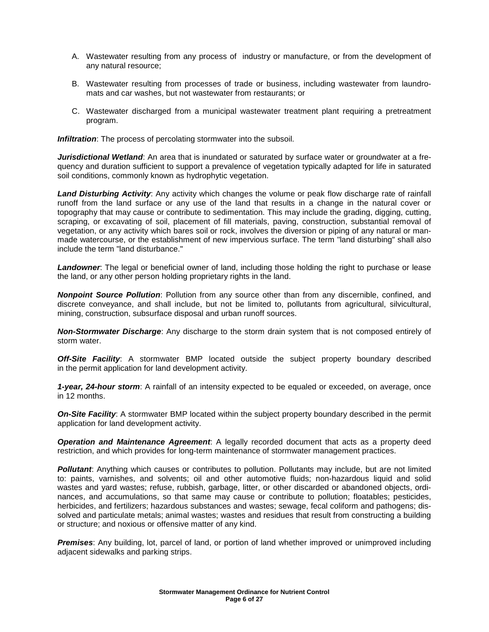- A. Wastewater resulting from any process of industry or manufacture, or from the development of any natural resource;
- B. Wastewater resulting from processes of trade or business, including wastewater from laundromats and car washes, but not wastewater from restaurants; or
- C. Wastewater discharged from a municipal wastewater treatment plant requiring a pretreatment program.

*Infiltration*: The process of percolating stormwater into the subsoil.

**Jurisdictional Wetland**: An area that is inundated or saturated by surface water or groundwater at a frequency and duration sufficient to support a prevalence of vegetation typically adapted for life in saturated soil conditions, commonly known as hydrophytic vegetation.

**Land Disturbing Activity**: Any activity which changes the volume or peak flow discharge rate of rainfall runoff from the land surface or any use of the land that results in a change in the natural cover or topography that may cause or contribute to sedimentation. This may include the grading, digging, cutting, scraping, or excavating of soil, placement of fill materials, paving, construction, substantial removal of vegetation, or any activity which bares soil or rock, involves the diversion or piping of any natural or manmade watercourse, or the establishment of new impervious surface. The term "land disturbing" shall also include the term "land disturbance."

**Landowner**: The legal or beneficial owner of land, including those holding the right to purchase or lease the land, or any other person holding proprietary rights in the land.

**Nonpoint Source Pollution**: Pollution from any source other than from any discernible, confined, and discrete conveyance, and shall include, but not be limited to, pollutants from agricultural, silvicultural, mining, construction, subsurface disposal and urban runoff sources.

**Non-Stormwater Discharge**: Any discharge to the storm drain system that is not composed entirely of storm water.

**Off-Site Facility:** A stormwater BMP located outside the subject property boundary described in the permit application for land development activity.

**1-year, 24-hour storm**: A rainfall of an intensity expected to be equaled or exceeded, on average, once in 12 months.

**On-Site Facility**: A stormwater BMP located within the subject property boundary described in the permit application for land development activity.

**Operation and Maintenance Agreement**: A legally recorded document that acts as a property deed restriction, and which provides for long-term maintenance of stormwater management practices.

**Pollutant**: Anything which causes or contributes to pollution. Pollutants may include, but are not limited to: paints, varnishes, and solvents; oil and other automotive fluids; non-hazardous liquid and solid wastes and yard wastes; refuse, rubbish, garbage, litter, or other discarded or abandoned objects, ordinances, and accumulations, so that same may cause or contribute to pollution; floatables; pesticides, herbicides, and fertilizers; hazardous substances and wastes; sewage, fecal coliform and pathogens; dissolved and particulate metals; animal wastes; wastes and residues that result from constructing a building or structure; and noxious or offensive matter of any kind.

**Premises**: Any building, lot, parcel of land, or portion of land whether improved or unimproved including adjacent sidewalks and parking strips.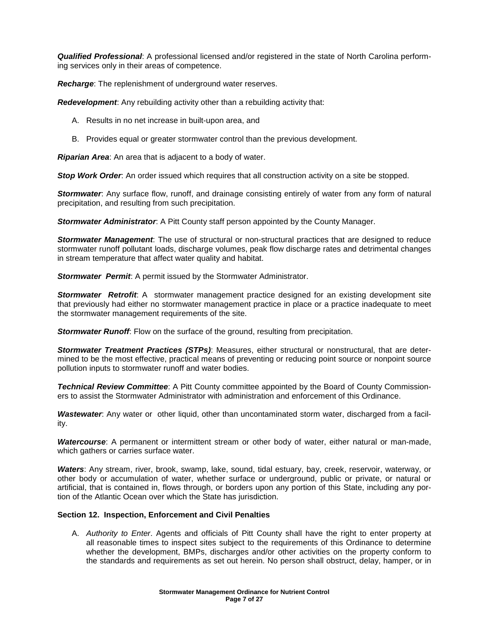**Qualified Professional**: A professional licensed and/or registered in the state of North Carolina performing services only in their areas of competence.

**Recharge**: The replenishment of underground water reserves.

**Redevelopment**: Any rebuilding activity other than a rebuilding activity that:

- A. Results in no net increase in built-upon area, and
- B. Provides equal or greater stormwater control than the previous development.

**Riparian Area**: An area that is adjacent to a body of water.

**Stop Work Order**: An order issued which requires that all construction activity on a site be stopped.

**Stormwater**: Any surface flow, runoff, and drainage consisting entirely of water from any form of natural precipitation, and resulting from such precipitation.

**Stormwater Administrator**: A Pitt County staff person appointed by the County Manager.

**Stormwater Management**: The use of structural or non-structural practices that are designed to reduce stormwater runoff pollutant loads, discharge volumes, peak flow discharge rates and detrimental changes in stream temperature that affect water quality and habitat.

**Stormwater Permit:** A permit issued by the Stormwater Administrator.

**Stormwater Retrofit**: A stormwater management practice designed for an existing development site that previously had either no stormwater management practice in place or a practice inadequate to meet the stormwater management requirements of the site.

**Stormwater Runoff:** Flow on the surface of the ground, resulting from precipitation.

**Stormwater Treatment Practices (STPs)**: Measures, either structural or nonstructural, that are determined to be the most effective, practical means of preventing or reducing point source or nonpoint source pollution inputs to stormwater runoff and water bodies.

**Technical Review Committee**: A Pitt County committee appointed by the Board of County Commissioners to assist the Stormwater Administrator with administration and enforcement of this Ordinance.

**Wastewater**: Any water or other liquid, other than uncontaminated storm water, discharged from a facility.

**Watercourse**: A permanent or intermittent stream or other body of water, either natural or man-made, which gathers or carries surface water.

**Waters**: Any stream, river, brook, swamp, lake, sound, tidal estuary, bay, creek, reservoir, waterway, or other body or accumulation of water, whether surface or underground, public or private, or natural or artificial, that is contained in, flows through, or borders upon any portion of this State, including any portion of the Atlantic Ocean over which the State has jurisdiction.

### **Section 12. Inspection, Enforcement and Civil Penalties**

A. Authority to Enter. Agents and officials of Pitt County shall have the right to enter property at all reasonable times to inspect sites subject to the requirements of this Ordinance to determine whether the development, BMPs, discharges and/or other activities on the property conform to the standards and requirements as set out herein. No person shall obstruct, delay, hamper, or in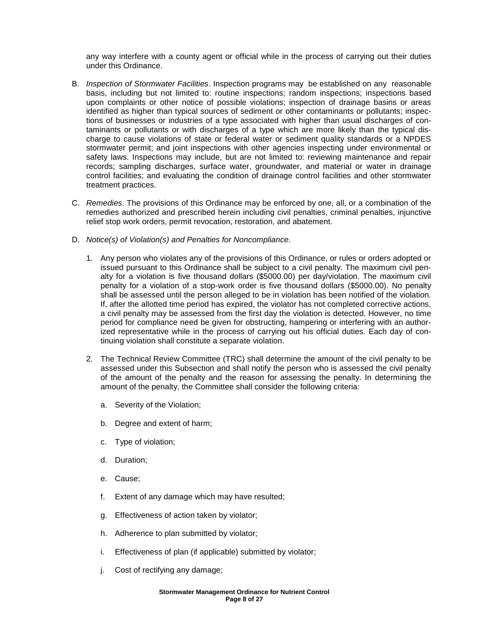any way interfere with a county agent or official while in the process of carrying out their duties under this Ordinance.

- B. Inspection of Stormwater Facilities. Inspection programs may be established on any reasonable basis, including but not limited to: routine inspections; random inspections; inspections based upon complaints or other notice of possible violations; inspection of drainage basins or areas identified as higher than typical sources of sediment or other contaminants or pollutants; inspections of businesses or industries of a type associated with higher than usual discharges of contaminants or pollutants or with discharges of a type which are more likely than the typical discharge to cause violations of state or federal water or sediment quality standards or a NPDES stormwater permit; and joint inspections with other agencies inspecting under environmental or safety laws. Inspections may include, but are not limited to: reviewing maintenance and repair records; sampling discharges, surface water, groundwater, and material or water in drainage control facilities; and evaluating the condition of drainage control facilities and other stormwater treatment practices.
- C. Remedies. The provisions of this Ordinance may be enforced by one, all, or a combination of the remedies authorized and prescribed herein including civil penalties, criminal penalties, injunctive relief stop work orders, permit revocation, restoration, and abatement.
- D. Notice(s) of Violation(s) and Penalties for Noncompliance.
	- 1. Any person who violates any of the provisions of this Ordinance, or rules or orders adopted or issued pursuant to this Ordinance shall be subject to a civil penalty. The maximum civil penalty for a violation is five thousand dollars (\$5000.00) per day/violation. The maximum civil penalty for a violation of a stop-work order is five thousand dollars (\$5000.00). No penalty shall be assessed until the person alleged to be in violation has been notified of the violation. If, after the allotted time period has expired, the violator has not completed corrective actions, a civil penalty may be assessed from the first day the violation is detected. However, no time period for compliance need be given for obstructing, hampering or interfering with an authorized representative while in the process of carrying out his official duties. Each day of continuing violation shall constitute a separate violation.
	- 2. The Technical Review Committee (TRC) shall determine the amount of the civil penalty to be assessed under this Subsection and shall notify the person who is assessed the civil penalty of the amount of the penalty and the reason for assessing the penalty. In determining the amount of the penalty, the Committee shall consider the following criteria:
		- a. Severity of the Violation;
		- b. Degree and extent of harm;
		- c. Type of violation;
		- d. Duration;
		- e. Cause;
		- f. Extent of any damage which may have resulted;
		- g. Effectiveness of action taken by violator;
		- h. Adherence to plan submitted by violator;
		- i. Effectiveness of plan (if applicable) submitted by violator;
		- j. Cost of rectifying any damage;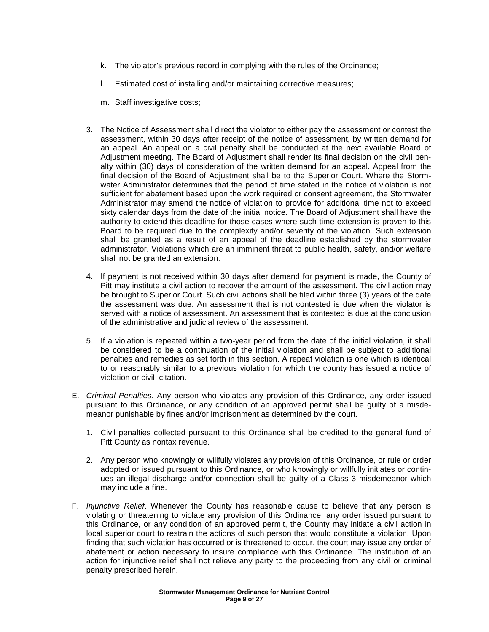- k. The violator's previous record in complying with the rules of the Ordinance;
- l. Estimated cost of installing and/or maintaining corrective measures;
- m. Staff investigative costs;
- 3. The Notice of Assessment shall direct the violator to either pay the assessment or contest the assessment, within 30 days after receipt of the notice of assessment, by written demand for an appeal. An appeal on a civil penalty shall be conducted at the next available Board of Adjustment meeting. The Board of Adjustment shall render its final decision on the civil penalty within (30) days of consideration of the written demand for an appeal. Appeal from the final decision of the Board of Adjustment shall be to the Superior Court. Where the Stormwater Administrator determines that the period of time stated in the notice of violation is not sufficient for abatement based upon the work required or consent agreement, the Stormwater Administrator may amend the notice of violation to provide for additional time not to exceed sixty calendar days from the date of the initial notice. The Board of Adjustment shall have the authority to extend this deadline for those cases where such time extension is proven to this Board to be required due to the complexity and/or severity of the violation. Such extension shall be granted as a result of an appeal of the deadline established by the stormwater administrator. Violations which are an imminent threat to public health, safety, and/or welfare shall not be granted an extension.
- 4. If payment is not received within 30 days after demand for payment is made, the County of Pitt may institute a civil action to recover the amount of the assessment. The civil action may be brought to Superior Court. Such civil actions shall be filed within three (3) years of the date the assessment was due. An assessment that is not contested is due when the violator is served with a notice of assessment. An assessment that is contested is due at the conclusion of the administrative and judicial review of the assessment.
- 5. If a violation is repeated within a two-year period from the date of the initial violation, it shall be considered to be a continuation of the initial violation and shall be subject to additional penalties and remedies as set forth in this section. A repeat violation is one which is identical to or reasonably similar to a previous violation for which the county has issued a notice of violation or civil citation.
- E. Criminal Penalties. Any person who violates any provision of this Ordinance, any order issued pursuant to this Ordinance, or any condition of an approved permit shall be guilty of a misdemeanor punishable by fines and/or imprisonment as determined by the court.
	- 1. Civil penalties collected pursuant to this Ordinance shall be credited to the general fund of Pitt County as nontax revenue.
	- 2. Any person who knowingly or willfully violates any provision of this Ordinance, or rule or order adopted or issued pursuant to this Ordinance, or who knowingly or willfully initiates or continues an illegal discharge and/or connection shall be guilty of a Class 3 misdemeanor which may include a fine.
- F. Injunctive Relief. Whenever the County has reasonable cause to believe that any person is violating or threatening to violate any provision of this Ordinance, any order issued pursuant to this Ordinance, or any condition of an approved permit, the County may initiate a civil action in local superior court to restrain the actions of such person that would constitute a violation. Upon finding that such violation has occurred or is threatened to occur, the court may issue any order of abatement or action necessary to insure compliance with this Ordinance. The institution of an action for injunctive relief shall not relieve any party to the proceeding from any civil or criminal penalty prescribed herein.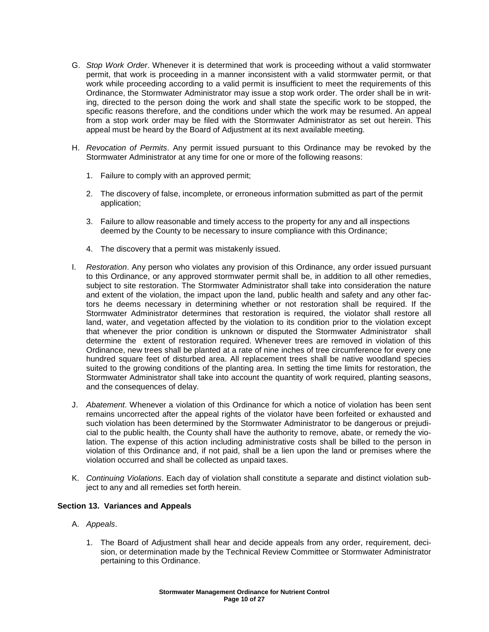- G. Stop Work Order. Whenever it is determined that work is proceeding without a valid stormwater permit, that work is proceeding in a manner inconsistent with a valid stormwater permit, or that work while proceeding according to a valid permit is insufficient to meet the requirements of this Ordinance, the Stormwater Administrator may issue a stop work order. The order shall be in writing, directed to the person doing the work and shall state the specific work to be stopped, the specific reasons therefore, and the conditions under which the work may be resumed. An appeal from a stop work order may be filed with the Stormwater Administrator as set out herein. This appeal must be heard by the Board of Adjustment at its next available meeting.
- H. Revocation of Permits. Any permit issued pursuant to this Ordinance may be revoked by the Stormwater Administrator at any time for one or more of the following reasons:
	- 1. Failure to comply with an approved permit;
	- 2. The discovery of false, incomplete, or erroneous information submitted as part of the permit application;
	- 3. Failure to allow reasonable and timely access to the property for any and all inspections deemed by the County to be necessary to insure compliance with this Ordinance;
	- 4. The discovery that a permit was mistakenly issued.
- I. Restoration. Any person who violates any provision of this Ordinance, any order issued pursuant to this Ordinance, or any approved stormwater permit shall be, in addition to all other remedies, subject to site restoration. The Stormwater Administrator shall take into consideration the nature and extent of the violation, the impact upon the land, public health and safety and any other factors he deems necessary in determining whether or not restoration shall be required. If the Stormwater Administrator determines that restoration is required, the violator shall restore all land, water, and vegetation affected by the violation to its condition prior to the violation except that whenever the prior condition is unknown or disputed the Stormwater Administrator shall determine the extent of restoration required. Whenever trees are removed in violation of this Ordinance, new trees shall be planted at a rate of nine inches of tree circumference for every one hundred square feet of disturbed area. All replacement trees shall be native woodland species suited to the growing conditions of the planting area. In setting the time limits for restoration, the Stormwater Administrator shall take into account the quantity of work required, planting seasons, and the consequences of delay.
- J. Abatement. Whenever a violation of this Ordinance for which a notice of violation has been sent remains uncorrected after the appeal rights of the violator have been forfeited or exhausted and such violation has been determined by the Stormwater Administrator to be dangerous or prejudicial to the public health, the County shall have the authority to remove, abate, or remedy the violation. The expense of this action including administrative costs shall be billed to the person in violation of this Ordinance and, if not paid, shall be a lien upon the land or premises where the violation occurred and shall be collected as unpaid taxes.
- K. Continuing Violations. Each day of violation shall constitute a separate and distinct violation subject to any and all remedies set forth herein.

### **Section 13. Variances and Appeals**

### A. Appeals.

1. The Board of Adjustment shall hear and decide appeals from any order, requirement, decision, or determination made by the Technical Review Committee or Stormwater Administrator pertaining to this Ordinance.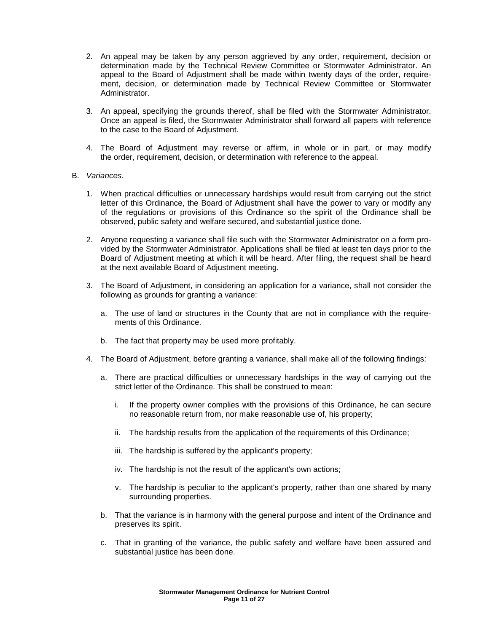- 2. An appeal may be taken by any person aggrieved by any order, requirement, decision or determination made by the Technical Review Committee or Stormwater Administrator. An appeal to the Board of Adjustment shall be made within twenty days of the order, requirement, decision, or determination made by Technical Review Committee or Stormwater Administrator.
- 3. An appeal, specifying the grounds thereof, shall be filed with the Stormwater Administrator. Once an appeal is filed, the Stormwater Administrator shall forward all papers with reference to the case to the Board of Adjustment.
- 4. The Board of Adjustment may reverse or affirm, in whole or in part, or may modify the order, requirement, decision, or determination with reference to the appeal.
- B. Variances.
	- 1. When practical difficulties or unnecessary hardships would result from carrying out the strict letter of this Ordinance, the Board of Adjustment shall have the power to vary or modify any of the regulations or provisions of this Ordinance so the spirit of the Ordinance shall be observed, public safety and welfare secured, and substantial justice done.
	- 2. Anyone requesting a variance shall file such with the Stormwater Administrator on a form provided by the Stormwater Administrator. Applications shall be filed at least ten days prior to the Board of Adjustment meeting at which it will be heard. After filing, the request shall be heard at the next available Board of Adjustment meeting.
	- 3. The Board of Adjustment, in considering an application for a variance, shall not consider the following as grounds for granting a variance:
		- a. The use of land or structures in the County that are not in compliance with the requirements of this Ordinance.
		- b. The fact that property may be used more profitably.
	- 4. The Board of Adjustment, before granting a variance, shall make all of the following findings:
		- a. There are practical difficulties or unnecessary hardships in the way of carrying out the strict letter of the Ordinance. This shall be construed to mean:
			- i. If the property owner complies with the provisions of this Ordinance, he can secure no reasonable return from, nor make reasonable use of, his property;
			- ii. The hardship results from the application of the requirements of this Ordinance;
			- iii. The hardship is suffered by the applicant's property;
			- iv. The hardship is not the result of the applicant's own actions;
			- v. The hardship is peculiar to the applicant's property, rather than one shared by many surrounding properties.
		- b. That the variance is in harmony with the general purpose and intent of the Ordinance and preserves its spirit.
		- c. That in granting of the variance, the public safety and welfare have been assured and substantial justice has been done.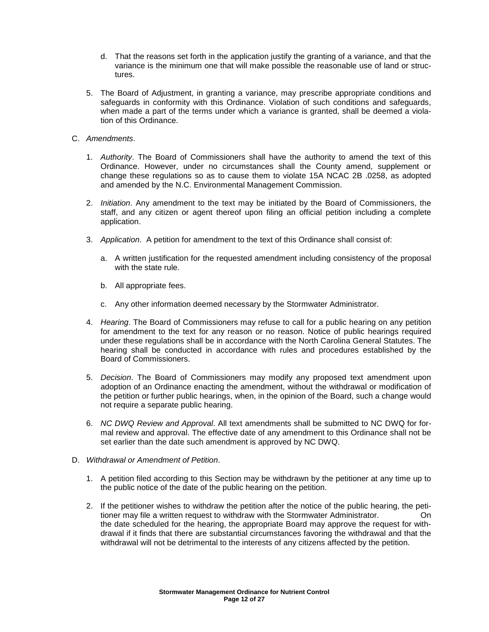- d. That the reasons set forth in the application justify the granting of a variance, and that the variance is the minimum one that will make possible the reasonable use of land or structures.
- 5. The Board of Adjustment, in granting a variance, may prescribe appropriate conditions and safeguards in conformity with this Ordinance. Violation of such conditions and safeguards, when made a part of the terms under which a variance is granted, shall be deemed a violation of this Ordinance.
- C. Amendments.
	- 1. Authority. The Board of Commissioners shall have the authority to amend the text of this Ordinance. However, under no circumstances shall the County amend, supplement or change these regulations so as to cause them to violate 15A NCAC 2B .0258, as adopted and amended by the N.C. Environmental Management Commission.
	- 2. Initiation. Any amendment to the text may be initiated by the Board of Commissioners, the staff, and any citizen or agent thereof upon filing an official petition including a complete application.
	- 3. Application. A petition for amendment to the text of this Ordinance shall consist of:
		- a. A written justification for the requested amendment including consistency of the proposal with the state rule.
		- b. All appropriate fees.
		- c. Any other information deemed necessary by the Stormwater Administrator.
	- 4. Hearing. The Board of Commissioners may refuse to call for a public hearing on any petition for amendment to the text for any reason or no reason. Notice of public hearings required under these regulations shall be in accordance with the North Carolina General Statutes. The hearing shall be conducted in accordance with rules and procedures established by the Board of Commissioners.
	- 5. Decision. The Board of Commissioners may modify any proposed text amendment upon adoption of an Ordinance enacting the amendment, without the withdrawal or modification of the petition or further public hearings, when, in the opinion of the Board, such a change would not require a separate public hearing.
	- 6. NC DWQ Review and Approval. All text amendments shall be submitted to NC DWQ for formal review and approval. The effective date of any amendment to this Ordinance shall not be set earlier than the date such amendment is approved by NC DWQ.
- D. Withdrawal or Amendment of Petition.
	- 1. A petition filed according to this Section may be withdrawn by the petitioner at any time up to the public notice of the date of the public hearing on the petition.
	- 2. If the petitioner wishes to withdraw the petition after the notice of the public hearing, the petitioner may file a written request to withdraw with the Stormwater Administrator. On the date scheduled for the hearing, the appropriate Board may approve the request for withdrawal if it finds that there are substantial circumstances favoring the withdrawal and that the withdrawal will not be detrimental to the interests of any citizens affected by the petition.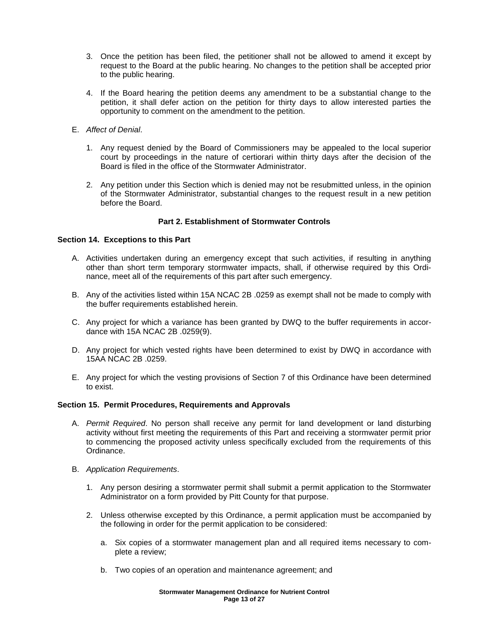- 3. Once the petition has been filed, the petitioner shall not be allowed to amend it except by request to the Board at the public hearing. No changes to the petition shall be accepted prior to the public hearing.
- 4. If the Board hearing the petition deems any amendment to be a substantial change to the petition, it shall defer action on the petition for thirty days to allow interested parties the opportunity to comment on the amendment to the petition.
- E. Affect of Denial.
	- 1. Any request denied by the Board of Commissioners may be appealed to the local superior court by proceedings in the nature of certiorari within thirty days after the decision of the Board is filed in the office of the Stormwater Administrator.
	- 2. Any petition under this Section which is denied may not be resubmitted unless, in the opinion of the Stormwater Administrator, substantial changes to the request result in a new petition before the Board.

# **Part 2. Establishment of Stormwater Controls**

### **Section 14. Exceptions to this Part**

- A. Activities undertaken during an emergency except that such activities, if resulting in anything other than short term temporary stormwater impacts, shall, if otherwise required by this Ordinance, meet all of the requirements of this part after such emergency.
- B. Any of the activities listed within 15A NCAC 2B .0259 as exempt shall not be made to comply with the buffer requirements established herein.
- C. Any project for which a variance has been granted by DWQ to the buffer requirements in accordance with 15A NCAC 2B .0259(9).
- D. Any project for which vested rights have been determined to exist by DWQ in accordance with 15AA NCAC 2B .0259.
- E. Any project for which the vesting provisions of Section 7 of this Ordinance have been determined to exist.

### **Section 15. Permit Procedures, Requirements and Approvals**

- A. Permit Required. No person shall receive any permit for land development or land disturbing activity without first meeting the requirements of this Part and receiving a stormwater permit prior to commencing the proposed activity unless specifically excluded from the requirements of this Ordinance.
- B. Application Requirements.
	- 1. Any person desiring a stormwater permit shall submit a permit application to the Stormwater Administrator on a form provided by Pitt County for that purpose.
	- 2. Unless otherwise excepted by this Ordinance, a permit application must be accompanied by the following in order for the permit application to be considered:
		- a. Six copies of a stormwater management plan and all required items necessary to complete a review;
		- b. Two copies of an operation and maintenance agreement; and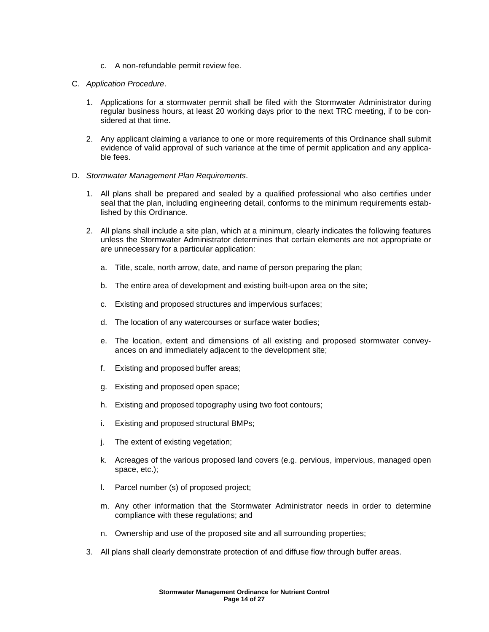- c. A non-refundable permit review fee.
- C. Application Procedure.
	- 1. Applications for a stormwater permit shall be filed with the Stormwater Administrator during regular business hours, at least 20 working days prior to the next TRC meeting, if to be considered at that time.
	- 2. Any applicant claiming a variance to one or more requirements of this Ordinance shall submit evidence of valid approval of such variance at the time of permit application and any applicable fees.
- D. Stormwater Management Plan Requirements.
	- 1. All plans shall be prepared and sealed by a qualified professional who also certifies under seal that the plan, including engineering detail, conforms to the minimum requirements established by this Ordinance.
	- 2. All plans shall include a site plan, which at a minimum, clearly indicates the following features unless the Stormwater Administrator determines that certain elements are not appropriate or are unnecessary for a particular application:
		- a. Title, scale, north arrow, date, and name of person preparing the plan;
		- b. The entire area of development and existing built-upon area on the site;
		- c. Existing and proposed structures and impervious surfaces;
		- d. The location of any watercourses or surface water bodies;
		- e. The location, extent and dimensions of all existing and proposed stormwater conveyances on and immediately adjacent to the development site;
		- f. Existing and proposed buffer areas;
		- g. Existing and proposed open space;
		- h. Existing and proposed topography using two foot contours;
		- i. Existing and proposed structural BMPs;
		- j. The extent of existing vegetation;
		- k. Acreages of the various proposed land covers (e.g. pervious, impervious, managed open space, etc.);
		- l. Parcel number (s) of proposed project;
		- m. Any other information that the Stormwater Administrator needs in order to determine compliance with these regulations; and
		- n. Ownership and use of the proposed site and all surrounding properties;
	- 3. All plans shall clearly demonstrate protection of and diffuse flow through buffer areas.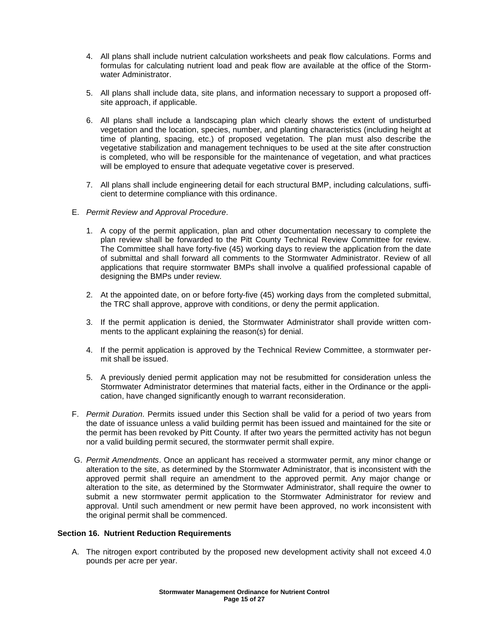- 4. All plans shall include nutrient calculation worksheets and peak flow calculations. Forms and formulas for calculating nutrient load and peak flow are available at the office of the Stormwater Administrator.
- 5. All plans shall include data, site plans, and information necessary to support a proposed offsite approach, if applicable.
- 6. All plans shall include a landscaping plan which clearly shows the extent of undisturbed vegetation and the location, species, number, and planting characteristics (including height at time of planting, spacing, etc.) of proposed vegetation. The plan must also describe the vegetative stabilization and management techniques to be used at the site after construction is completed, who will be responsible for the maintenance of vegetation, and what practices will be employed to ensure that adequate vegetative cover is preserved.
- 7. All plans shall include engineering detail for each structural BMP, including calculations, sufficient to determine compliance with this ordinance.
- E. Permit Review and Approval Procedure.
	- 1. A copy of the permit application, plan and other documentation necessary to complete the plan review shall be forwarded to the Pitt County Technical Review Committee for review. The Committee shall have forty-five (45) working days to review the application from the date of submittal and shall forward all comments to the Stormwater Administrator. Review of all applications that require stormwater BMPs shall involve a qualified professional capable of designing the BMPs under review.
	- 2. At the appointed date, on or before forty-five (45) working days from the completed submittal, the TRC shall approve, approve with conditions, or deny the permit application.
	- 3. If the permit application is denied, the Stormwater Administrator shall provide written comments to the applicant explaining the reason(s) for denial.
	- 4. If the permit application is approved by the Technical Review Committee, a stormwater permit shall be issued.
	- 5. A previously denied permit application may not be resubmitted for consideration unless the Stormwater Administrator determines that material facts, either in the Ordinance or the application, have changed significantly enough to warrant reconsideration.
- F. Permit Duration. Permits issued under this Section shall be valid for a period of two years from the date of issuance unless a valid building permit has been issued and maintained for the site or the permit has been revoked by Pitt County. If after two years the permitted activity has not begun nor a valid building permit secured, the stormwater permit shall expire.
- G. Permit Amendments. Once an applicant has received a stormwater permit, any minor change or alteration to the site, as determined by the Stormwater Administrator, that is inconsistent with the approved permit shall require an amendment to the approved permit. Any major change or alteration to the site, as determined by the Stormwater Administrator, shall require the owner to submit a new stormwater permit application to the Stormwater Administrator for review and approval. Until such amendment or new permit have been approved, no work inconsistent with the original permit shall be commenced.

### **Section 16. Nutrient Reduction Requirements**

A. The nitrogen export contributed by the proposed new development activity shall not exceed 4.0 pounds per acre per year.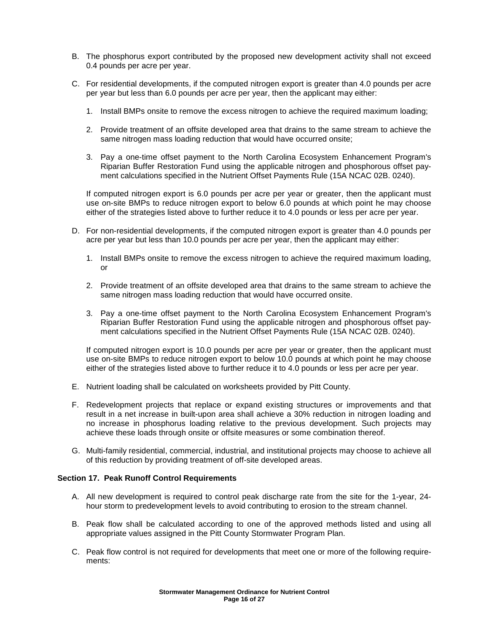- B. The phosphorus export contributed by the proposed new development activity shall not exceed 0.4 pounds per acre per year.
- C. For residential developments, if the computed nitrogen export is greater than 4.0 pounds per acre per year but less than 6.0 pounds per acre per year, then the applicant may either:
	- 1. Install BMPs onsite to remove the excess nitrogen to achieve the required maximum loading;
	- 2. Provide treatment of an offsite developed area that drains to the same stream to achieve the same nitrogen mass loading reduction that would have occurred onsite;
	- 3. Pay a one-time offset payment to the North Carolina Ecosystem Enhancement Program's Riparian Buffer Restoration Fund using the applicable nitrogen and phosphorous offset payment calculations specified in the Nutrient Offset Payments Rule (15A NCAC 02B. 0240).

If computed nitrogen export is 6.0 pounds per acre per year or greater, then the applicant must use on-site BMPs to reduce nitrogen export to below 6.0 pounds at which point he may choose either of the strategies listed above to further reduce it to 4.0 pounds or less per acre per year.

- D. For non-residential developments, if the computed nitrogen export is greater than 4.0 pounds per acre per year but less than 10.0 pounds per acre per year, then the applicant may either:
	- 1. Install BMPs onsite to remove the excess nitrogen to achieve the required maximum loading, or
	- 2. Provide treatment of an offsite developed area that drains to the same stream to achieve the same nitrogen mass loading reduction that would have occurred onsite.
	- 3. Pay a one-time offset payment to the North Carolina Ecosystem Enhancement Program's Riparian Buffer Restoration Fund using the applicable nitrogen and phosphorous offset payment calculations specified in the Nutrient Offset Payments Rule (15A NCAC 02B. 0240).

If computed nitrogen export is 10.0 pounds per acre per year or greater, then the applicant must use on-site BMPs to reduce nitrogen export to below 10.0 pounds at which point he may choose either of the strategies listed above to further reduce it to 4.0 pounds or less per acre per year.

- E. Nutrient loading shall be calculated on worksheets provided by Pitt County.
- F. Redevelopment projects that replace or expand existing structures or improvements and that result in a net increase in built-upon area shall achieve a 30% reduction in nitrogen loading and no increase in phosphorus loading relative to the previous development. Such projects may achieve these loads through onsite or offsite measures or some combination thereof.
- G. Multi-family residential, commercial, industrial, and institutional projects may choose to achieve all of this reduction by providing treatment of off-site developed areas.

### **Section 17. Peak Runoff Control Requirements**

- A. All new development is required to control peak discharge rate from the site for the 1-year, 24 hour storm to predevelopment levels to avoid contributing to erosion to the stream channel.
- B. Peak flow shall be calculated according to one of the approved methods listed and using all appropriate values assigned in the Pitt County Stormwater Program Plan.
- C. Peak flow control is not required for developments that meet one or more of the following requirements: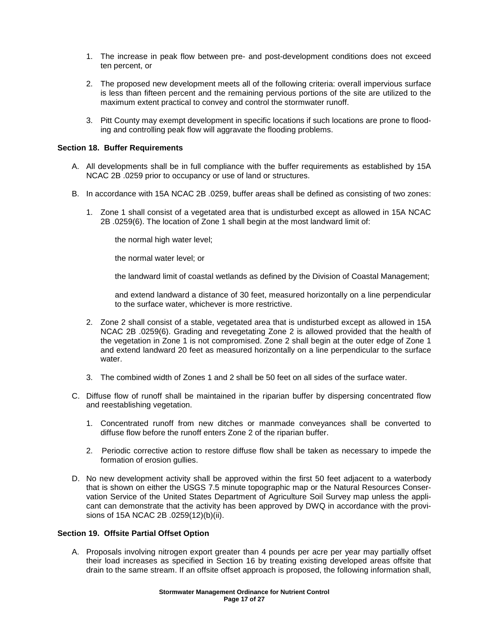- 1. The increase in peak flow between pre- and post-development conditions does not exceed ten percent, or
- 2. The proposed new development meets all of the following criteria: overall impervious surface is less than fifteen percent and the remaining pervious portions of the site are utilized to the maximum extent practical to convey and control the stormwater runoff.
- 3. Pitt County may exempt development in specific locations if such locations are prone to flooding and controlling peak flow will aggravate the flooding problems.

#### **Section 18. Buffer Requirements**

- A. All developments shall be in full compliance with the buffer requirements as established by 15A NCAC 2B .0259 prior to occupancy or use of land or structures.
- B. In accordance with 15A NCAC 2B .0259, buffer areas shall be defined as consisting of two zones:
	- 1. Zone 1 shall consist of a vegetated area that is undisturbed except as allowed in 15A NCAC 2B .0259(6). The location of Zone 1 shall begin at the most landward limit of:

the normal high water level;

the normal water level; or

the landward limit of coastal wetlands as defined by the Division of Coastal Management;

and extend landward a distance of 30 feet, measured horizontally on a line perpendicular to the surface water, whichever is more restrictive.

- 2. Zone 2 shall consist of a stable, vegetated area that is undisturbed except as allowed in 15A NCAC 2B .0259(6). Grading and revegetating Zone 2 is allowed provided that the health of the vegetation in Zone 1 is not compromised. Zone 2 shall begin at the outer edge of Zone 1 and extend landward 20 feet as measured horizontally on a line perpendicular to the surface water.
- 3. The combined width of Zones 1 and 2 shall be 50 feet on all sides of the surface water.
- C. Diffuse flow of runoff shall be maintained in the riparian buffer by dispersing concentrated flow and reestablishing vegetation.
	- 1. Concentrated runoff from new ditches or manmade conveyances shall be converted to diffuse flow before the runoff enters Zone 2 of the riparian buffer.
	- 2. Periodic corrective action to restore diffuse flow shall be taken as necessary to impede the formation of erosion gullies.
- D. No new development activity shall be approved within the first 50 feet adjacent to a waterbody that is shown on either the USGS 7.5 minute topographic map or the Natural Resources Conservation Service of the United States Department of Agriculture Soil Survey map unless the applicant can demonstrate that the activity has been approved by DWQ in accordance with the provisions of 15A NCAC 2B .0259(12)(b)(ii).

### **Section 19. Offsite Partial Offset Option**

A. Proposals involving nitrogen export greater than 4 pounds per acre per year may partially offset their load increases as specified in Section 16 by treating existing developed areas offsite that drain to the same stream. If an offsite offset approach is proposed, the following information shall,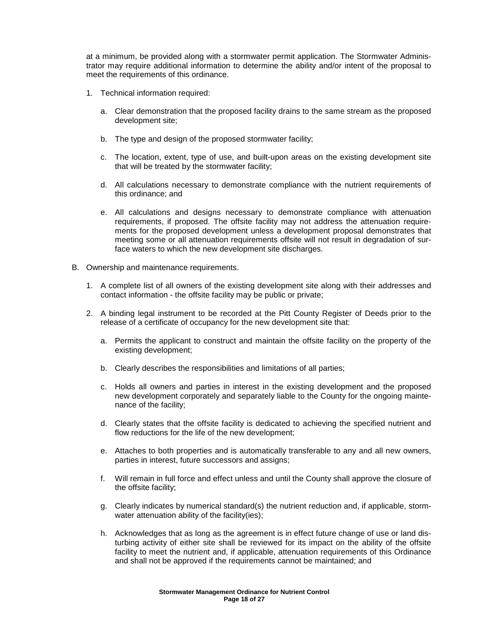at a minimum, be provided along with a stormwater permit application. The Stormwater Administrator may require additional information to determine the ability and/or intent of the proposal to meet the requirements of this ordinance.

- 1. Technical information required:
	- a. Clear demonstration that the proposed facility drains to the same stream as the proposed development site;
	- b. The type and design of the proposed stormwater facility;
	- c. The location, extent, type of use, and built-upon areas on the existing development site that will be treated by the stormwater facility;
	- d. All calculations necessary to demonstrate compliance with the nutrient requirements of this ordinance; and
	- e. All calculations and designs necessary to demonstrate compliance with attenuation requirements, if proposed. The offsite facility may not address the attenuation requirements for the proposed development unless a development proposal demonstrates that meeting some or all attenuation requirements offsite will not result in degradation of surface waters to which the new development site discharges.
- B. Ownership and maintenance requirements.
	- 1. A complete list of all owners of the existing development site along with their addresses and contact information - the offsite facility may be public or private;
	- 2. A binding legal instrument to be recorded at the Pitt County Register of Deeds prior to the release of a certificate of occupancy for the new development site that:
		- a. Permits the applicant to construct and maintain the offsite facility on the property of the existing development;
		- b. Clearly describes the responsibilities and limitations of all parties;
		- c. Holds all owners and parties in interest in the existing development and the proposed new development corporately and separately liable to the County for the ongoing maintenance of the facility;
		- d. Clearly states that the offsite facility is dedicated to achieving the specified nutrient and flow reductions for the life of the new development;
		- e. Attaches to both properties and is automatically transferable to any and all new owners, parties in interest, future successors and assigns;
		- f. Will remain in full force and effect unless and until the County shall approve the closure of the offsite facility;
		- g. Clearly indicates by numerical standard(s) the nutrient reduction and, if applicable, stormwater attenuation ability of the facility (ies);
		- h. Acknowledges that as long as the agreement is in effect future change of use or land disturbing activity of either site shall be reviewed for its impact on the ability of the offsite facility to meet the nutrient and, if applicable, attenuation requirements of this Ordinance and shall not be approved if the requirements cannot be maintained; and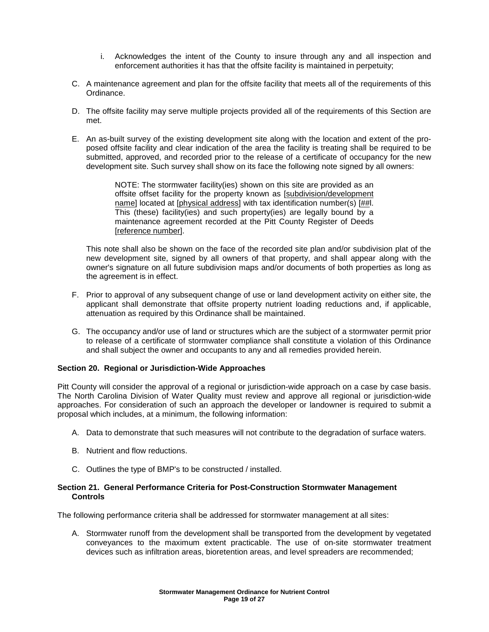- i. Acknowledges the intent of the County to insure through any and all inspection and enforcement authorities it has that the offsite facility is maintained in perpetuity;
- C. A maintenance agreement and plan for the offsite facility that meets all of the requirements of this Ordinance.
- D. The offsite facility may serve multiple projects provided all of the requirements of this Section are met.
- E. An as-built survey of the existing development site along with the location and extent of the proposed offsite facility and clear indication of the area the facility is treating shall be required to be submitted, approved, and recorded prior to the release of a certificate of occupancy for the new development site. Such survey shall show on its face the following note signed by all owners:

NOTE: The stormwater facility(ies) shown on this site are provided as an offsite offset facility for the property known as [subdivision/development name] located at [physical address] with tax identification number(s) [##|. This (these) facility(ies) and such property(ies) are legally bound by a maintenance agreement recorded at the Pitt County Register of Deeds [reference number].

This note shall also be shown on the face of the recorded site plan and/or subdivision plat of the new development site, signed by all owners of that property, and shall appear along with the owner's signature on all future subdivision maps and/or documents of both properties as long as the agreement is in effect.

- F. Prior to approval of any subsequent change of use or land development activity on either site, the applicant shall demonstrate that offsite property nutrient loading reductions and, if applicable, attenuation as required by this Ordinance shall be maintained.
- G. The occupancy and/or use of land or structures which are the subject of a stormwater permit prior to release of a certificate of stormwater compliance shall constitute a violation of this Ordinance and shall subject the owner and occupants to any and all remedies provided herein.

### **Section 20. Regional or Jurisdiction-Wide Approaches**

Pitt County will consider the approval of a regional or jurisdiction-wide approach on a case by case basis. The North Carolina Division of Water Quality must review and approve all regional or jurisdiction-wide approaches. For consideration of such an approach the developer or landowner is required to submit a proposal which includes, at a minimum, the following information:

- A. Data to demonstrate that such measures will not contribute to the degradation of surface waters.
- B. Nutrient and flow reductions.
- C. Outlines the type of BMP's to be constructed / installed.

### **Section 21. General Performance Criteria for Post-Construction Stormwater Management Controls**

The following performance criteria shall be addressed for stormwater management at all sites:

A. Stormwater runoff from the development shall be transported from the development by vegetated conveyances to the maximum extent practicable. The use of on-site stormwater treatment devices such as infiltration areas, bioretention areas, and level spreaders are recommended;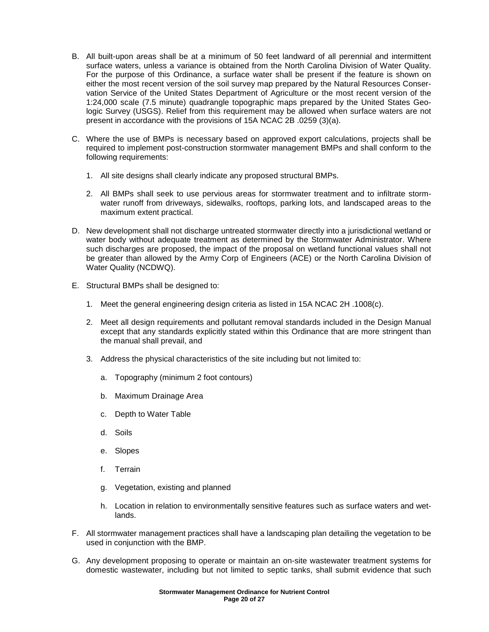- B. All built-upon areas shall be at a minimum of 50 feet landward of all perennial and intermittent surface waters, unless a variance is obtained from the North Carolina Division of Water Quality. For the purpose of this Ordinance, a surface water shall be present if the feature is shown on either the most recent version of the soil survey map prepared by the Natural Resources Conservation Service of the United States Department of Agriculture or the most recent version of the 1:24,000 scale (7.5 minute) quadrangle topographic maps prepared by the United States Geologic Survey (USGS). Relief from this requirement may be allowed when surface waters are not present in accordance with the provisions of 15A NCAC 2B .0259 (3)(a).
- C. Where the use of BMPs is necessary based on approved export calculations, projects shall be required to implement post-construction stormwater management BMPs and shall conform to the following requirements:
	- 1. All site designs shall clearly indicate any proposed structural BMPs.
	- 2. All BMPs shall seek to use pervious areas for stormwater treatment and to infiltrate stormwater runoff from driveways, sidewalks, rooftops, parking lots, and landscaped areas to the maximum extent practical.
- D. New development shall not discharge untreated stormwater directly into a jurisdictional wetland or water body without adequate treatment as determined by the Stormwater Administrator. Where such discharges are proposed, the impact of the proposal on wetland functional values shall not be greater than allowed by the Army Corp of Engineers (ACE) or the North Carolina Division of Water Quality (NCDWQ).
- E. Structural BMPs shall be designed to:
	- 1. Meet the general engineering design criteria as listed in 15A NCAC 2H .1008(c).
	- 2. Meet all design requirements and pollutant removal standards included in the Design Manual except that any standards explicitly stated within this Ordinance that are more stringent than the manual shall prevail, and
	- 3. Address the physical characteristics of the site including but not limited to:
		- a. Topography (minimum 2 foot contours)
		- b. Maximum Drainage Area
		- c. Depth to Water Table
		- d. Soils
		- e. Slopes
		- f. Terrain
		- g. Vegetation, existing and planned
		- h. Location in relation to environmentally sensitive features such as surface waters and wetlands.
- F. All stormwater management practices shall have a landscaping plan detailing the vegetation to be used in conjunction with the BMP.
- G. Any development proposing to operate or maintain an on-site wastewater treatment systems for domestic wastewater, including but not limited to septic tanks, shall submit evidence that such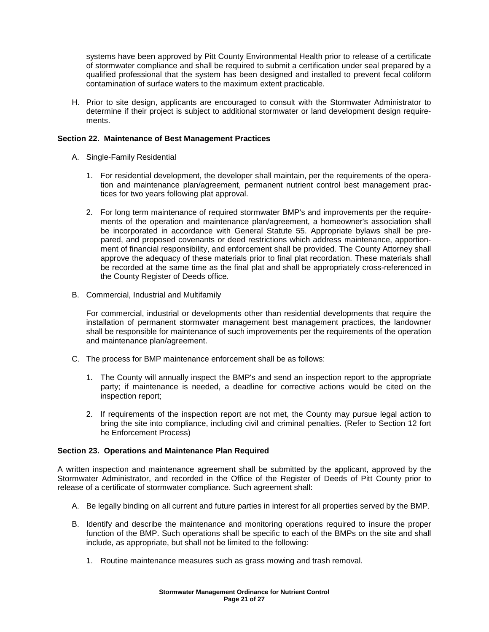systems have been approved by Pitt County Environmental Health prior to release of a certificate of stormwater compliance and shall be required to submit a certification under seal prepared by a qualified professional that the system has been designed and installed to prevent fecal coliform contamination of surface waters to the maximum extent practicable.

H. Prior to site design, applicants are encouraged to consult with the Stormwater Administrator to determine if their project is subject to additional stormwater or land development design requirements.

## **Section 22. Maintenance of Best Management Practices**

- A. Single-Family Residential
	- 1. For residential development, the developer shall maintain, per the requirements of the operation and maintenance plan/agreement, permanent nutrient control best management practices for two years following plat approval.
	- 2. For long term maintenance of required stormwater BMP's and improvements per the requirements of the operation and maintenance plan/agreement, a homeowner's association shall be incorporated in accordance with General Statute 55. Appropriate bylaws shall be prepared, and proposed covenants or deed restrictions which address maintenance, apportionment of financial responsibility, and enforcement shall be provided. The County Attorney shall approve the adequacy of these materials prior to final plat recordation. These materials shall be recorded at the same time as the final plat and shall be appropriately cross-referenced in the County Register of Deeds office.
- B. Commercial, Industrial and Multifamily

For commercial, industrial or developments other than residential developments that require the installation of permanent stormwater management best management practices, the landowner shall be responsible for maintenance of such improvements per the requirements of the operation and maintenance plan/agreement.

- C. The process for BMP maintenance enforcement shall be as follows:
	- 1. The County will annually inspect the BMP's and send an inspection report to the appropriate party; if maintenance is needed, a deadline for corrective actions would be cited on the inspection report;
	- 2. If requirements of the inspection report are not met, the County may pursue legal action to bring the site into compliance, including civil and criminal penalties. (Refer to Section 12 fort he Enforcement Process)

### **Section 23. Operations and Maintenance Plan Required**

A written inspection and maintenance agreement shall be submitted by the applicant, approved by the Stormwater Administrator, and recorded in the Office of the Register of Deeds of Pitt County prior to release of a certificate of stormwater compliance. Such agreement shall:

- A. Be legally binding on all current and future parties in interest for all properties served by the BMP.
- B. Identify and describe the maintenance and monitoring operations required to insure the proper function of the BMP. Such operations shall be specific to each of the BMPs on the site and shall include, as appropriate, but shall not be limited to the following:
	- 1. Routine maintenance measures such as grass mowing and trash removal.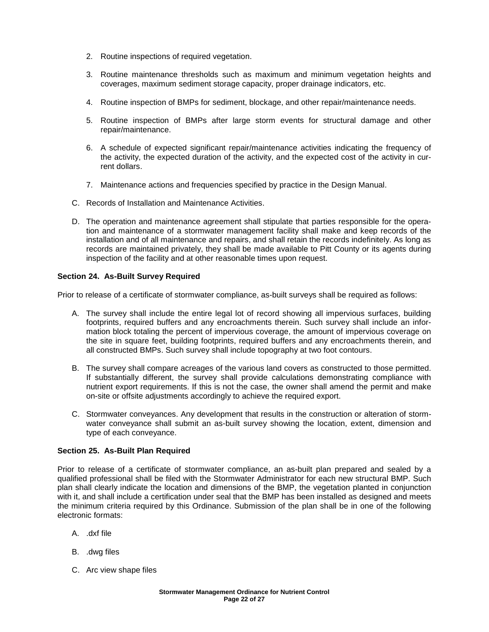- 2. Routine inspections of required vegetation.
- 3. Routine maintenance thresholds such as maximum and minimum vegetation heights and coverages, maximum sediment storage capacity, proper drainage indicators, etc.
- 4. Routine inspection of BMPs for sediment, blockage, and other repair/maintenance needs.
- 5. Routine inspection of BMPs after large storm events for structural damage and other repair/maintenance.
- 6. A schedule of expected significant repair/maintenance activities indicating the frequency of the activity, the expected duration of the activity, and the expected cost of the activity in current dollars.
- 7. Maintenance actions and frequencies specified by practice in the Design Manual.
- C. Records of Installation and Maintenance Activities.
- D. The operation and maintenance agreement shall stipulate that parties responsible for the operation and maintenance of a stormwater management facility shall make and keep records of the installation and of all maintenance and repairs, and shall retain the records indefinitely. As long as records are maintained privately, they shall be made available to Pitt County or its agents during inspection of the facility and at other reasonable times upon request.

# **Section 24. As-Built Survey Required**

Prior to release of a certificate of stormwater compliance, as-built surveys shall be required as follows:

- A. The survey shall include the entire legal lot of record showing all impervious surfaces, building footprints, required buffers and any encroachments therein. Such survey shall include an information block totaling the percent of impervious coverage, the amount of impervious coverage on the site in square feet, building footprints, required buffers and any encroachments therein, and all constructed BMPs. Such survey shall include topography at two foot contours.
- B. The survey shall compare acreages of the various land covers as constructed to those permitted. If substantially different, the survey shall provide calculations demonstrating compliance with nutrient export requirements. If this is not the case, the owner shall amend the permit and make on-site or offsite adjustments accordingly to achieve the required export.
- C. Stormwater conveyances. Any development that results in the construction or alteration of stormwater conveyance shall submit an as-built survey showing the location, extent, dimension and type of each conveyance.

### **Section 25. As-Built Plan Required**

Prior to release of a certificate of stormwater compliance, an as-built plan prepared and sealed by a qualified professional shall be filed with the Stormwater Administrator for each new structural BMP. Such plan shall clearly indicate the location and dimensions of the BMP, the vegetation planted in conjunction with it, and shall include a certification under seal that the BMP has been installed as designed and meets the minimum criteria required by this Ordinance. Submission of the plan shall be in one of the following electronic formats:

- A. .dxf file
- B. .dwg files
- C. Arc view shape files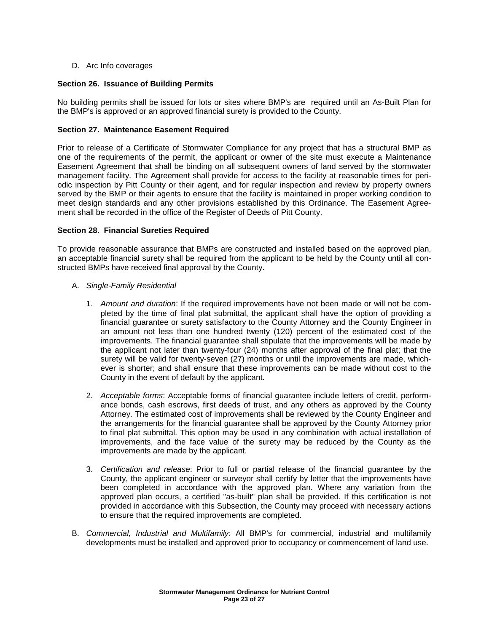D. Arc Info coverages

## **Section 26. Issuance of Building Permits**

No building permits shall be issued for lots or sites where BMP's are required until an As-Built Plan for the BMP's is approved or an approved financial surety is provided to the County.

## **Section 27. Maintenance Easement Required**

Prior to release of a Certificate of Stormwater Compliance for any project that has a structural BMP as one of the requirements of the permit, the applicant or owner of the site must execute a Maintenance Easement Agreement that shall be binding on all subsequent owners of land served by the stormwater management facility. The Agreement shall provide for access to the facility at reasonable times for periodic inspection by Pitt County or their agent, and for regular inspection and review by property owners served by the BMP or their agents to ensure that the facility is maintained in proper working condition to meet design standards and any other provisions established by this Ordinance. The Easement Agreement shall be recorded in the office of the Register of Deeds of Pitt County.

# **Section 28. Financial Sureties Required**

To provide reasonable assurance that BMPs are constructed and installed based on the approved plan, an acceptable financial surety shall be required from the applicant to be held by the County until all constructed BMPs have received final approval by the County.

- A. Single-Family Residential
	- 1. Amount and duration: If the required improvements have not been made or will not be completed by the time of final plat submittal, the applicant shall have the option of providing a financial guarantee or surety satisfactory to the County Attorney and the County Engineer in an amount not less than one hundred twenty (120) percent of the estimated cost of the improvements. The financial guarantee shall stipulate that the improvements will be made by the applicant not later than twenty-four (24) months after approval of the final plat; that the surety will be valid for twenty-seven (27) months or until the improvements are made, whichever is shorter; and shall ensure that these improvements can be made without cost to the County in the event of default by the applicant.
	- 2. Acceptable forms: Acceptable forms of financial guarantee include letters of credit, performance bonds, cash escrows, first deeds of trust, and any others as approved by the County Attorney. The estimated cost of improvements shall be reviewed by the County Engineer and the arrangements for the financial guarantee shall be approved by the County Attorney prior to final plat submittal. This option may be used in any combination with actual installation of improvements, and the face value of the surety may be reduced by the County as the improvements are made by the applicant.
	- 3. Certification and release: Prior to full or partial release of the financial guarantee by the County, the applicant engineer or surveyor shall certify by letter that the improvements have been completed in accordance with the approved plan. Where any variation from the approved plan occurs, a certified "as-built" plan shall be provided. If this certification is not provided in accordance with this Subsection, the County may proceed with necessary actions to ensure that the required improvements are completed.
- B. Commercial, Industrial and Multifamily: All BMP's for commercial, industrial and multifamily developments must be installed and approved prior to occupancy or commencement of land use.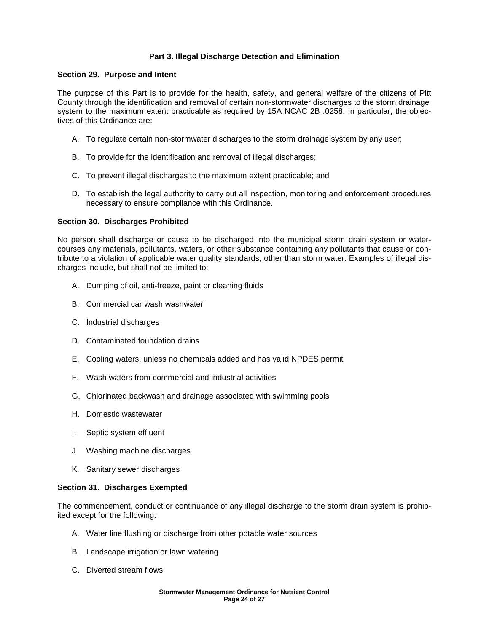## **Part 3. Illegal Discharge Detection and Elimination**

## **Section 29. Purpose and Intent**

The purpose of this Part is to provide for the health, safety, and general welfare of the citizens of Pitt County through the identification and removal of certain non-stormwater discharges to the storm drainage system to the maximum extent practicable as required by 15A NCAC 2B .0258. In particular, the objectives of this Ordinance are:

- A. To regulate certain non-stormwater discharges to the storm drainage system by any user;
- B. To provide for the identification and removal of illegal discharges;
- C. To prevent illegal discharges to the maximum extent practicable; and
- D. To establish the legal authority to carry out all inspection, monitoring and enforcement procedures necessary to ensure compliance with this Ordinance.

# **Section 30. Discharges Prohibited**

No person shall discharge or cause to be discharged into the municipal storm drain system or watercourses any materials, pollutants, waters, or other substance containing any pollutants that cause or contribute to a violation of applicable water quality standards, other than storm water. Examples of illegal discharges include, but shall not be limited to:

- A. Dumping of oil, anti-freeze, paint or cleaning fluids
- B. Commercial car wash washwater
- C. Industrial discharges
- D. Contaminated foundation drains
- E. Cooling waters, unless no chemicals added and has valid NPDES permit
- F. Wash waters from commercial and industrial activities
- G. Chlorinated backwash and drainage associated with swimming pools
- H. Domestic wastewater
- I. Septic system effluent
- J. Washing machine discharges
- K. Sanitary sewer discharges

### **Section 31. Discharges Exempted**

The commencement, conduct or continuance of any illegal discharge to the storm drain system is prohibited except for the following:

- A. Water line flushing or discharge from other potable water sources
- B. Landscape irrigation or lawn watering
- C. Diverted stream flows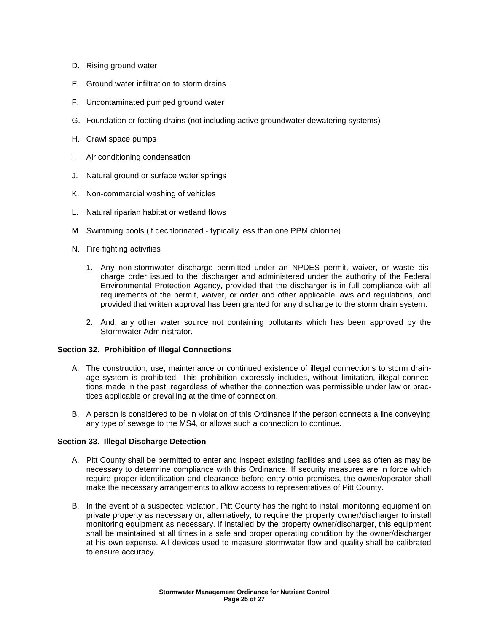- D. Rising ground water
- E. Ground water infiltration to storm drains
- F. Uncontaminated pumped ground water
- G. Foundation or footing drains (not including active groundwater dewatering systems)
- H. Crawl space pumps
- I. Air conditioning condensation
- J. Natural ground or surface water springs
- K. Non-commercial washing of vehicles
- L. Natural riparian habitat or wetland flows
- M. Swimming pools (if dechlorinated typically less than one PPM chlorine)
- N. Fire fighting activities
	- 1. Any non-stormwater discharge permitted under an NPDES permit, waiver, or waste discharge order issued to the discharger and administered under the authority of the Federal Environmental Protection Agency, provided that the discharger is in full compliance with all requirements of the permit, waiver, or order and other applicable laws and regulations, and provided that written approval has been granted for any discharge to the storm drain system.
	- 2. And, any other water source not containing pollutants which has been approved by the Stormwater Administrator.

### **Section 32. Prohibition of Illegal Connections**

- A. The construction, use, maintenance or continued existence of illegal connections to storm drainage system is prohibited. This prohibition expressly includes, without limitation, illegal connections made in the past, regardless of whether the connection was permissible under law or practices applicable or prevailing at the time of connection.
- B. A person is considered to be in violation of this Ordinance if the person connects a line conveying any type of sewage to the MS4, or allows such a connection to continue.

### **Section 33. Illegal Discharge Detection**

- A. Pitt County shall be permitted to enter and inspect existing facilities and uses as often as may be necessary to determine compliance with this Ordinance. If security measures are in force which require proper identification and clearance before entry onto premises, the owner/operator shall make the necessary arrangements to allow access to representatives of Pitt County.
- B. In the event of a suspected violation, Pitt County has the right to install monitoring equipment on private property as necessary or, alternatively, to require the property owner/discharger to install monitoring equipment as necessary. If installed by the property owner/discharger, this equipment shall be maintained at all times in a safe and proper operating condition by the owner/discharger at his own expense. All devices used to measure stormwater flow and quality shall be calibrated to ensure accuracy.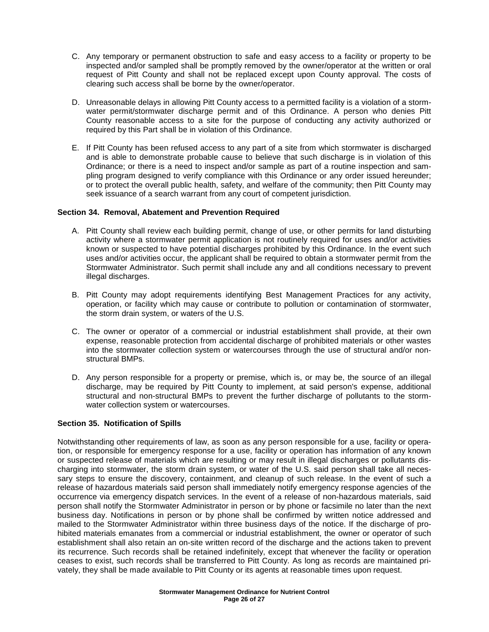- C. Any temporary or permanent obstruction to safe and easy access to a facility or property to be inspected and/or sampled shall be promptly removed by the owner/operator at the written or oral request of Pitt County and shall not be replaced except upon County approval. The costs of clearing such access shall be borne by the owner/operator.
- D. Unreasonable delays in allowing Pitt County access to a permitted facility is a violation of a stormwater permit/stormwater discharge permit and of this Ordinance. A person who denies Pitt County reasonable access to a site for the purpose of conducting any activity authorized or required by this Part shall be in violation of this Ordinance.
- E. If Pitt County has been refused access to any part of a site from which stormwater is discharged and is able to demonstrate probable cause to believe that such discharge is in violation of this Ordinance; or there is a need to inspect and/or sample as part of a routine inspection and sampling program designed to verify compliance with this Ordinance or any order issued hereunder; or to protect the overall public health, safety, and welfare of the community; then Pitt County may seek issuance of a search warrant from any court of competent jurisdiction.

#### **Section 34. Removal, Abatement and Prevention Required**

- A. Pitt County shall review each building permit, change of use, or other permits for land disturbing activity where a stormwater permit application is not routinely required for uses and/or activities known or suspected to have potential discharges prohibited by this Ordinance. In the event such uses and/or activities occur, the applicant shall be required to obtain a stormwater permit from the Stormwater Administrator. Such permit shall include any and all conditions necessary to prevent illegal discharges.
- B. Pitt County may adopt requirements identifying Best Management Practices for any activity, operation, or facility which may cause or contribute to pollution or contamination of stormwater, the storm drain system, or waters of the U.S.
- C. The owner or operator of a commercial or industrial establishment shall provide, at their own expense, reasonable protection from accidental discharge of prohibited materials or other wastes into the stormwater collection system or watercourses through the use of structural and/or nonstructural BMPs.
- D. Any person responsible for a property or premise, which is, or may be, the source of an illegal discharge, may be required by Pitt County to implement, at said person's expense, additional structural and non-structural BMPs to prevent the further discharge of pollutants to the stormwater collection system or watercourses.

### **Section 35. Notification of Spills**

Notwithstanding other requirements of law, as soon as any person responsible for a use, facility or operation, or responsible for emergency response for a use, facility or operation has information of any known or suspected release of materials which are resulting or may result in illegal discharges or pollutants discharging into stormwater, the storm drain system, or water of the U.S. said person shall take all necessary steps to ensure the discovery, containment, and cleanup of such release. In the event of such a release of hazardous materials said person shall immediately notify emergency response agencies of the occurrence via emergency dispatch services. In the event of a release of non-hazardous materials, said person shall notify the Stormwater Administrator in person or by phone or facsimile no later than the next business day. Notifications in person or by phone shall be confirmed by written notice addressed and mailed to the Stormwater Administrator within three business days of the notice. If the discharge of prohibited materials emanates from a commercial or industrial establishment, the owner or operator of such establishment shall also retain an on-site written record of the discharge and the actions taken to prevent its recurrence. Such records shall be retained indefinitely, except that whenever the facility or operation ceases to exist, such records shall be transferred to Pitt County. As long as records are maintained privately, they shall be made available to Pitt County or its agents at reasonable times upon request.